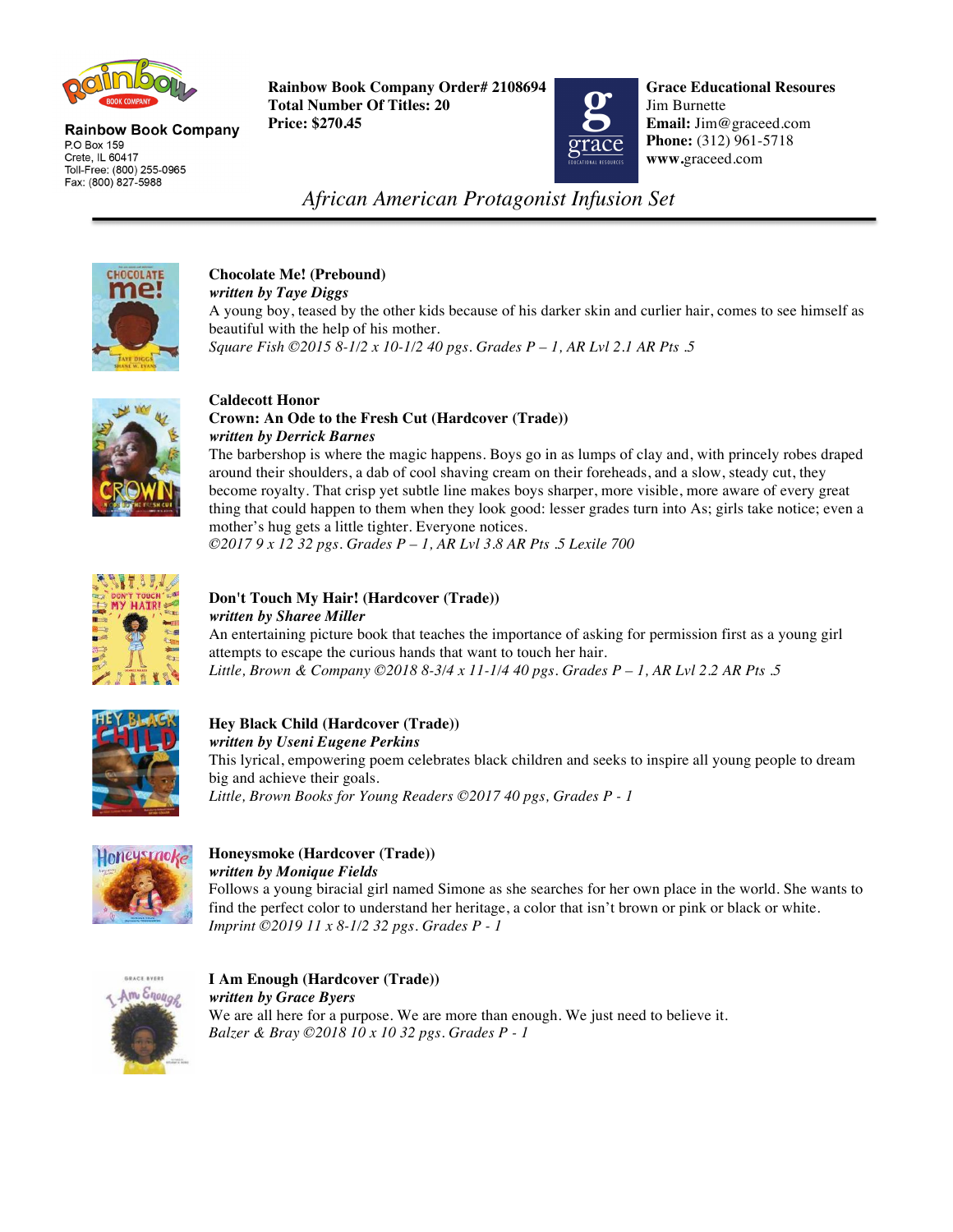

**Rainbow Book Company** P.O Box 159 Crete, IL 60417 Toll-Free: (800) 255-0965 Fax: (800) 827-5988

 **Rainbow Book Company Order# 2108694 Total Number Of Titles: 20 Price: \$270.45 Email:** Jim@graceed.com



**Grace Educational Resoures** Jim Burnette **Phone:** (312) 961-5718 **www.**graceed.com

*African American Protagonist Infusion Set*



#### **Chocolate Me! (Prebound)** *written by Taye Diggs*

A young boy, teased by the other kids because of his darker skin and curlier hair, comes to see himself as beautiful with the help of his mother. *Square Fish ©2015 8-1/2 x 10-1/2 40 pgs. Grades P – 1, AR Lvl 2.1 AR Pts .5* 



### **Caldecott Honor Crown: An Ode to the Fresh Cut (Hardcover (Trade))** *written by Derrick Barnes*

The barbershop is where the magic happens. Boys go in as lumps of clay and, with princely robes draped around their shoulders, a dab of cool shaving cream on their foreheads, and a slow, steady cut, they become royalty. That crisp yet subtle line makes boys sharper, more visible, more aware of every great thing that could happen to them when they look good: lesser grades turn into As; girls take notice; even a mother's hug gets a little tighter. Everyone notices.

*©2017 9 x 12 32 pgs. Grades P – 1, AR Lvl 3.8 AR Pts .5 Lexile 700* 



# **Don't Touch My Hair! (Hardcover (Trade))**  *written by Sharee Miller*

An entertaining picture book that teaches the importance of asking for permission first as a young girl attempts to escape the curious hands that want to touch her hair. *Little, Brown & Company ©2018 8-3/4 x 11-1/4 40 pgs. Grades P – 1, AR Lvl 2.2 AR Pts .5* 



## **Hey Black Child (Hardcover (Trade))**  *written by Useni Eugene Perkins*

This lyrical, empowering poem celebrates black children and seeks to inspire all young people to dream big and achieve their goals. *Little, Brown Books for Young Readers ©2017 40 pgs, Grades P - 1* 



# **Honeysmoke (Hardcover (Trade))**  *written by Monique Fields*

Follows a young biracial girl named Simone as she searches for her own place in the world. She wants to find the perfect color to understand her heritage, a color that isn't brown or pink or black or white. *Imprint ©2019 11 x 8-1/2 32 pgs. Grades P - 1* 



**I Am Enough (Hardcover (Trade))**  *written by Grace Byers*  We are all here for a purpose. We are more than enough. We just need to believe it. *Balzer & Bray ©2018 10 x 10 32 pgs. Grades P - 1*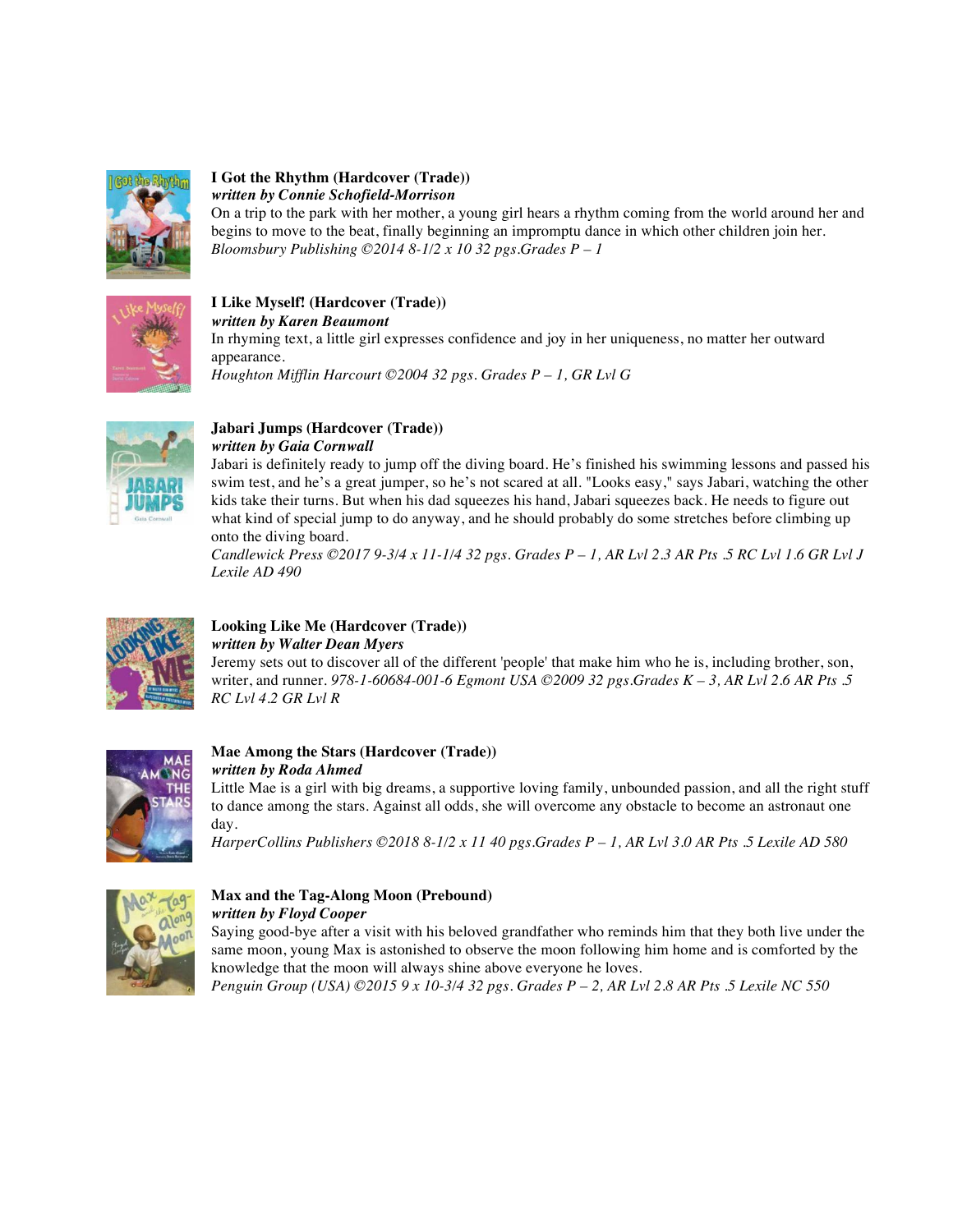

### **I Got the Rhythm (Hardcover (Trade))**  *written by Connie Schofield-Morrison*

On a trip to the park with her mother, a young girl hears a rhythm coming from the world around her and begins to move to the beat, finally beginning an impromptu dance in which other children join her. *Bloomsbury Publishing ©2014 8-1/2 x 10 32 pgs.Grades P – 1*



# **I Like Myself! (Hardcover (Trade))**

*written by Karen Beaumont* 

In rhyming text, a little girl expresses confidence and joy in her uniqueness, no matter her outward appearance. *Houghton Mifflin Harcourt ©2004 32 pgs. Grades P – 1, GR Lvl G* 



#### **Jabari Jumps (Hardcover (Trade))**  *written by Gaia Cornwall*

Jabari is definitely ready to jump off the diving board. He's finished his swimming lessons and passed his swim test, and he's a great jumper, so he's not scared at all. "Looks easy," says Jabari, watching the other kids take their turns. But when his dad squeezes his hand, Jabari squeezes back. He needs to figure out what kind of special jump to do anyway, and he should probably do some stretches before climbing up onto the diving board.

*Candlewick Press ©2017 9-3/4 x 11-1/4 32 pgs. Grades P – 1, AR Lvl 2.3 AR Pts .5 RC Lvl 1.6 GR Lvl J Lexile AD 490* 



# **Looking Like Me (Hardcover (Trade))**  *written by Walter Dean Myers*

Jeremy sets out to discover all of the different 'people' that make him who he is, including brother, son, writer, and runner. *978-1-60684-001-6 Egmont USA ©2009 32 pgs.Grades K – 3, AR Lvl 2.6 AR Pts .5 RC Lvl 4.2 GR Lvl R* 



### **Mae Among the Stars (Hardcover (Trade))**  *written by Roda Ahmed*

Little Mae is a girl with big dreams, a supportive loving family, unbounded passion, and all the right stuff to dance among the stars. Against all odds, she will overcome any obstacle to become an astronaut one day.

*HarperCollins Publishers ©2018 8-1/2 x 11 40 pgs.Grades P – 1, AR Lvl 3.0 AR Pts .5 Lexile AD 580* 



#### **Max and the Tag-Along Moon (Prebound)**  *written by Floyd Cooper*

Saying good-bye after a visit with his beloved grandfather who reminds him that they both live under the same moon, young Max is astonished to observe the moon following him home and is comforted by the knowledge that the moon will always shine above everyone he loves.

*Penguin Group (USA) ©2015 9 x 10-3/4 32 pgs. Grades P – 2, AR Lvl 2.8 AR Pts .5 Lexile NC 550*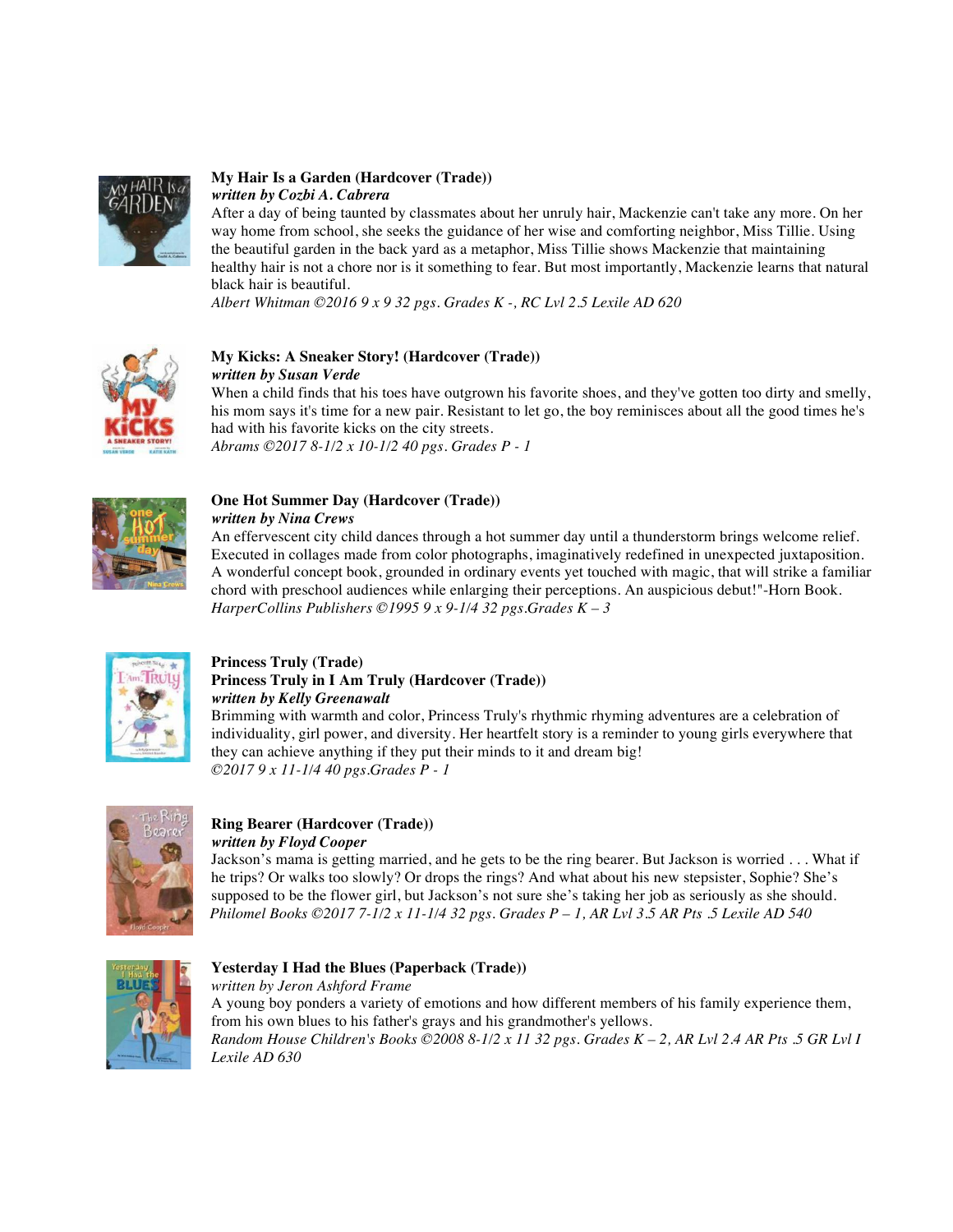

#### **My Hair Is a Garden (Hardcover (Trade))**  *written by Cozbi A. Cabrera*

After a day of being taunted by classmates about her unruly hair, Mackenzie can't take any more. On her way home from school, she seeks the guidance of her wise and comforting neighbor, Miss Tillie. Using the beautiful garden in the back yard as a metaphor, Miss Tillie shows Mackenzie that maintaining healthy hair is not a chore nor is it something to fear. But most importantly, Mackenzie learns that natural black hair is beautiful.

*Albert Whitman ©2016 9 x 9 32 pgs. Grades K -, RC Lvl 2.5 Lexile AD 620* 



### **My Kicks: A Sneaker Story! (Hardcover (Trade))**  *written by Susan Verde*

When a child finds that his toes have outgrown his favorite shoes, and they've gotten too dirty and smelly, his mom says it's time for a new pair. Resistant to let go, the boy reminisces about all the good times he's had with his favorite kicks on the city streets. *Abrams ©2017 8-1/2 x 10-1/2 40 pgs. Grades P - 1*



# **One Hot Summer Day (Hardcover (Trade))**

*written by Nina Crews* 

An effervescent city child dances through a hot summer day until a thunderstorm brings welcome relief. Executed in collages made from color photographs, imaginatively redefined in unexpected juxtaposition. A wonderful concept book, grounded in ordinary events yet touched with magic, that will strike a familiar chord with preschool audiences while enlarging their perceptions. An auspicious debut!"-Horn Book. *HarperCollins Publishers ©1995 9 x 9-1/4 32 pgs.Grades K – 3*



### **Princess Truly (Trade) Princess Truly in I Am Truly (Hardcover (Trade))**  *written by Kelly Greenawalt*

Brimming with warmth and color, Princess Truly's rhythmic rhyming adventures are a celebration of individuality, girl power, and diversity. Her heartfelt story is a reminder to young girls everywhere that they can achieve anything if they put their minds to it and dream big! *©2017 9 x 11-1/4 40 pgs.Grades P - 1* 



### **Ring Bearer (Hardcover (Trade))**  *written by Floyd Cooper*

Jackson's mama is getting married, and he gets to be the ring bearer. But Jackson is worried . . . What if he trips? Or walks too slowly? Or drops the rings? And what about his new stepsister, Sophie? She's supposed to be the flower girl, but Jackson's not sure she's taking her job as seriously as she should.  *Philomel Books ©2017 7-1/2 x 11-1/4 32 pgs. Grades P – 1, AR Lvl 3.5 AR Pts .5 Lexile AD 540* 



# **Yesterday I Had the Blues (Paperback (Trade))**

*written by Jeron Ashford Frame*  A young boy ponders a variety of emotions and how different members of his family experience them, from his own blues to his father's grays and his grandmother's yellows. *Random House Children's Books ©2008 8-1/2 x 11 32 pgs. Grades K – 2, AR Lvl 2.4 AR Pts .5 GR Lvl I Lexile AD 630*